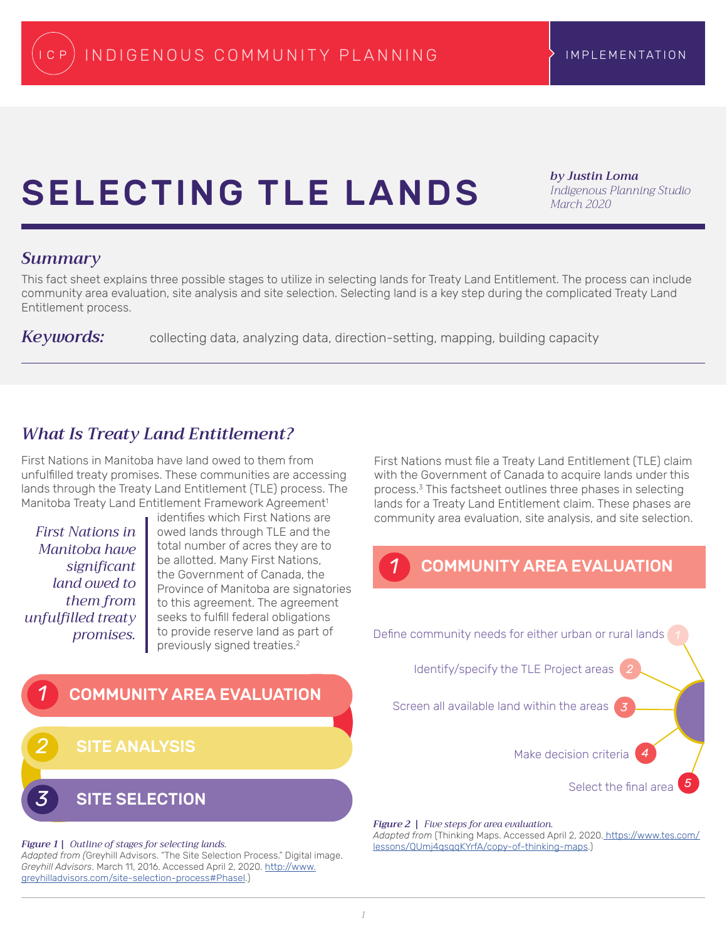# <span id="page-0-0"></span>SELECTING TLE LANDS

*by Justin Loma Indigenous Planning Studio March 2020*

#### *Summary*

This fact sheet explains three possible stages to utilize in selecting lands for Treaty Land Entitlement. The process can include community area evaluation, site analysis and site selection. Selecting land is a key step during the complicated Treaty Land Entitlement process.

Keywords: collecting data, analyzing data, direction-setting, mapping, building capacity

# *What Is Treaty Land Entitlement?*

First Nations in Manitoba have land owed to them from unfulfilled treaty promises. These communities are accessing lands through the Treaty Land Entitlement (TLE) process. The Manitoba Treaty Land Entitlement Framework Agreement<sup>1</sup>

*First Nations in Manitoba have significant land owed to them from unfulfilled treaty promises.*

identifies which First Nations are owed lands through TLE and the total number of acres they are to be allotted. Many First Nations, the Government of Canada, the Province of Manitoba are signatories to this agreement. The agreement seeks to fulfill federal obligations to provide reserve land as part of previously signed treaties[.2](#page-2-0)

First Nations must file a Treaty Land Entitlement (TLE) claim with the Government of Canada to acquire lands under this process.[3](#page-2-0) This factsheet outlines three phases in selecting lands for a Treaty Land Entitlement claim. These phases are community area evaluation, site analysis, and site selection.

# *1* COMMUNITY AREA EVALUATION



*Figure 2 | Five steps for area evaluation.* 

*Adapted from* (Thinking Maps. Accessed April 2, 2020[. https://www.tes.com/]( https://www.tes.com/lessons/QUmj4qsqqKYrfA/copy-of-thinking-maps) [lessons/QUmj4qsqqKYrfA/copy-of-thinking-maps]( https://www.tes.com/lessons/QUmj4qsqqKYrfA/copy-of-thinking-maps).)

#### *Figure 1 | Outline of stages for selecting lands.*

*3* SITE SELECTION

*2* SITE ANALYSIS

*Adapted from (*Greyhill Advisors. "The Site Selection Process." Digital image. *Greyhill Advisors*. March 11, 2016. Accessed April 2, 2020. [http://www.](http://www.greyhilladvisors.com/site-selection-process#PhaseI) [greyhilladvisors.com/site-selection-process#PhaseI.](http://www.greyhilladvisors.com/site-selection-process#PhaseI))

*1* COMMUNITY AREA EVALUATION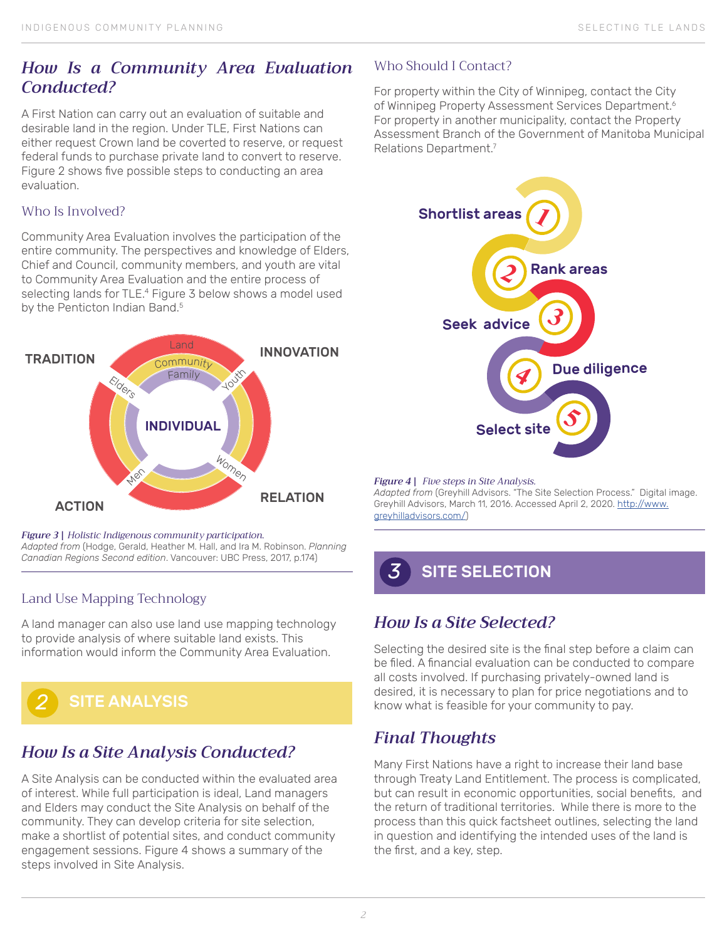## <span id="page-1-0"></span>*How Is a Community Area Evaluation Conducted?*

A First Nation can carry out an evaluation of suitable and desirable land in the region. Under TLE, First Nations can either request Crown land be coverted to reserve, or request federal funds to purchase private land to convert to reserve. Figure 2 shows five possible steps to conducting an area evaluation.

#### Who Is Involved?

Community Area Evaluation involves the participation of the entire community. The perspectives and knowledge of Elders, Chief and Council, community members, and youth are vital to Community Area Evaluation and the entire process of selecting lands for TLE.<sup>4</sup> Figure 3 below shows a model used by the Penticton Indian Band.<sup>5</sup>



#### *Figure 3 | Holistic Indigenous community participation.*

*Adapted from* (Hodge, Gerald, Heather M. Hall, and Ira M. Robinson. *Planning Canadian Regions Second edition*. Vancouver: UBC Press, 2017, p.174)

#### Land Use Mapping Technology

A land manager can also use land use mapping technology to provide analysis of where suitable land exists. This information would inform the Community Area Evaluation.



# *How Is a Site Analysis Conducted?*

A Site Analysis can be conducted within the evaluated area of interest. While full participation is ideal, Land managers and Elders may conduct the Site Analysis on behalf of the community. They can develop criteria for site selection, make a shortlist of potential sites, and conduct community engagement sessions. Figure 4 shows a summary of the steps involved in Site Analysis.

#### Who Should I Contact?

For property within the City of Winnipeg, contact the City of Winnipeg Property Assessment Services Department.<sup>6</sup> For property in another municipality, contact the Property Assessment Branch of the Government of Manitoba Municipal Relations Department[.7](#page-2-0)



#### *Figure 4 | Five steps in Site Analysis.*

*Adapted from* (Greyhill Advisors. "The Site Selection Process." Digital image. Greyhill Advisors, March 11, 2016. Accessed April 2, 2020. [http://www.](http://www.greyhilladvisors.com/) [greyhilladvisors.com/](http://www.greyhilladvisors.com/))

# *3* SITE SELECTION

# *How Is a Site Selected?*

Selecting the desired site is the final step before a claim can be filed. A financial evaluation can be conducted to compare all costs involved. If purchasing privately-owned land is desired, it is necessary to plan for price negotiations and to know what is feasible for your community to pay.

# *Final Thoughts*

Many First Nations have a right to increase their land base through Treaty Land Entitlement. The process is complicated, but can result in economic opportunities, social benefits, and the return of traditional territories. While there is more to the process than this quick factsheet outlines, selecting the land in question and identifying the intended uses of the land is the first, and a key, step.